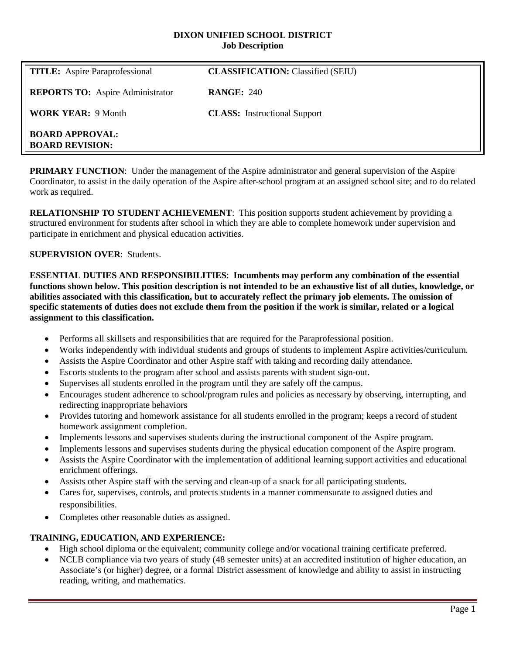#### **DIXON UNIFIED SCHOOL DISTRICT Job Description**

| <b>TITLE:</b> Aspire Paraprofessional            | <b>CLASSIFICATION:</b> Classified (SEIU) |
|--------------------------------------------------|------------------------------------------|
| <b>REPORTS TO:</b> Aspire Administrator          | <b>RANGE: 240</b>                        |
| <b>WORK YEAR: 9 Month</b>                        | <b>CLASS:</b> Instructional Support      |
| <b>BOARD APPROVAL:</b><br><b>BOARD REVISION:</b> |                                          |

**PRIMARY FUNCTION:** Under the management of the Aspire administrator and general supervision of the Aspire Coordinator, to assist in the daily operation of the Aspire after-school program at an assigned school site; and to do related work as required.

**RELATIONSHIP TO STUDENT ACHIEVEMENT**: This position supports student achievement by providing a structured environment for students after school in which they are able to complete homework under supervision and participate in enrichment and physical education activities.

## **SUPERVISION OVER**: Students.

**ESSENTIAL DUTIES AND RESPONSIBILITIES**: **Incumbents may perform any combination of the essential functions shown below. This position description is not intended to be an exhaustive list of all duties, knowledge, or abilities associated with this classification, but to accurately reflect the primary job elements. The omission of specific statements of duties does not exclude them from the position if the work is similar, related or a logical assignment to this classification.**

- Performs all skillsets and responsibilities that are required for the Paraprofessional position.
- Works independently with individual students and groups of students to implement Aspire activities/curriculum.
- Assists the Aspire Coordinator and other Aspire staff with taking and recording daily attendance.
- Escorts students to the program after school and assists parents with student sign-out.
- Supervises all students enrolled in the program until they are safely off the campus.
- Encourages student adherence to school/program rules and policies as necessary by observing, interrupting, and redirecting inappropriate behaviors
- Provides tutoring and homework assistance for all students enrolled in the program; keeps a record of student homework assignment completion.
- Implements lessons and supervises students during the instructional component of the Aspire program.
- Implements lessons and supervises students during the physical education component of the Aspire program.
- Assists the Aspire Coordinator with the implementation of additional learning support activities and educational enrichment offerings.
- Assists other Aspire staff with the serving and clean-up of a snack for all participating students.
- Cares for, supervises, controls, and protects students in a manner commensurate to assigned duties and responsibilities.
- Completes other reasonable duties as assigned.

#### **TRAINING, EDUCATION, AND EXPERIENCE:**

- High school diploma or the equivalent; community college and/or vocational training certificate preferred.
- NCLB compliance via two years of study (48 semester units) at an accredited institution of higher education, an Associate's (or higher) degree, or a formal District assessment of knowledge and ability to assist in instructing reading, writing, and mathematics.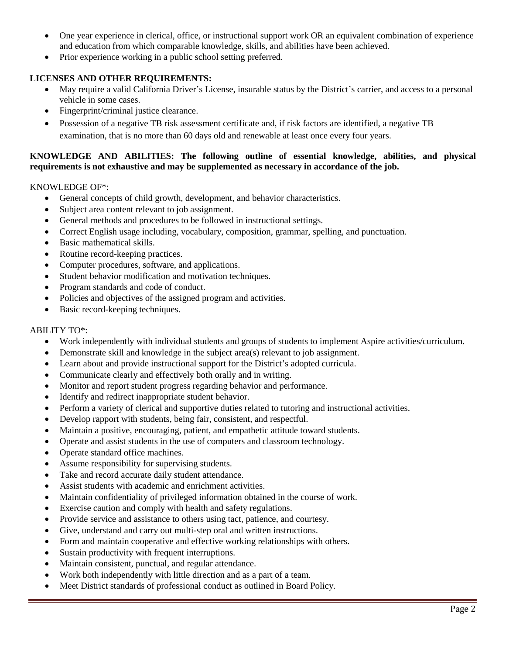- One year experience in clerical, office, or instructional support work OR an equivalent combination of experience and education from which comparable knowledge, skills, and abilities have been achieved.
- Prior experience working in a public school setting preferred.

## **LICENSES AND OTHER REQUIREMENTS:**

- May require a valid California Driver's License, insurable status by the District's carrier, and access to a personal vehicle in some cases.
- Fingerprint/criminal justice clearance.
- Possession of a negative TB risk assessment certificate and, if risk factors are identified, a negative TB examination, that is no more than 60 days old and renewable at least once every four years.

### **KNOWLEDGE AND ABILITIES: The following outline of essential knowledge, abilities, and physical requirements is not exhaustive and may be supplemented as necessary in accordance of the job.**

#### KNOWLEDGE OF\*:

- General concepts of child growth, development, and behavior characteristics.
- Subject area content relevant to job assignment.
- General methods and procedures to be followed in instructional settings.
- Correct English usage including, vocabulary, composition, grammar, spelling, and punctuation.
- Basic mathematical skills.
- Routine record-keeping practices.
- Computer procedures, software, and applications.
- Student behavior modification and motivation techniques.
- Program standards and code of conduct.
- Policies and objectives of the assigned program and activities.
- Basic record-keeping techniques.

#### ABILITY TO\*:

- Work independently with individual students and groups of students to implement Aspire activities/curriculum.
- Demonstrate skill and knowledge in the subject area(s) relevant to job assignment.
- Learn about and provide instructional support for the District's adopted curricula.
- Communicate clearly and effectively both orally and in writing.
- Monitor and report student progress regarding behavior and performance.
- Identify and redirect inappropriate student behavior.
- Perform a variety of clerical and supportive duties related to tutoring and instructional activities.
- Develop rapport with students, being fair, consistent, and respectful.
- Maintain a positive, encouraging, patient, and empathetic attitude toward students.
- Operate and assist students in the use of computers and classroom technology.
- Operate standard office machines.
- Assume responsibility for supervising students.
- Take and record accurate daily student attendance.
- Assist students with academic and enrichment activities.
- Maintain confidentiality of privileged information obtained in the course of work.
- Exercise caution and comply with health and safety regulations.
- Provide service and assistance to others using tact, patience, and courtesy.
- Give, understand and carry out multi-step oral and written instructions.
- Form and maintain cooperative and effective working relationships with others.
- Sustain productivity with frequent interruptions.
- Maintain consistent, punctual, and regular attendance.
- Work both independently with little direction and as a part of a team.
- Meet District standards of professional conduct as outlined in Board Policy.